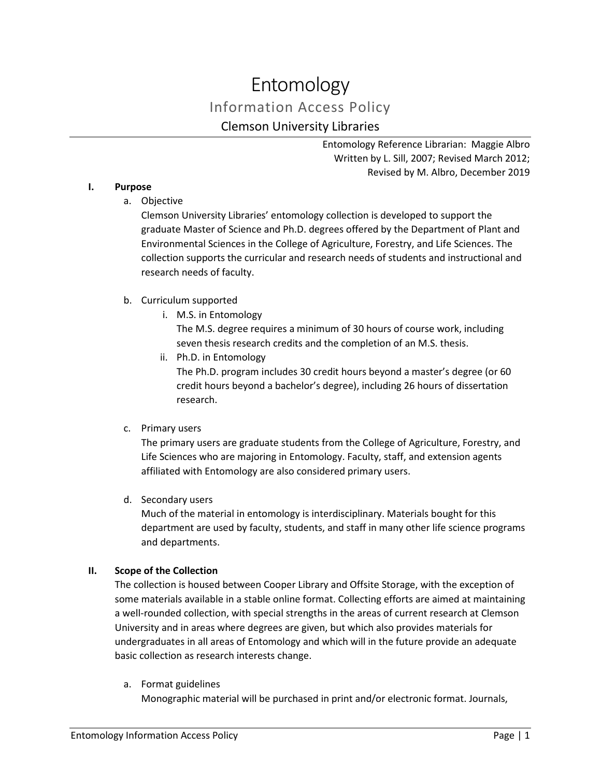# Entomology Information Access Policy Clemson University Libraries

Entomology Reference Librarian: Maggie Albro Written by L. Sill, 2007; Revised March 2012; Revised by M. Albro, December 2019

## **I. Purpose**

a. Objective

Clemson University Libraries' entomology collection is developed to support the graduate Master of Science and Ph.D. degrees offered by the Department of Plant and Environmental Sciences in the College of Agriculture, Forestry, and Life Sciences. The collection supports the curricular and research needs of students and instructional and research needs of faculty.

# b. Curriculum supported

i. M.S. in Entomology

The M.S. degree requires a minimum of 30 hours of course work, including seven thesis research credits and the completion of an M.S. thesis.

ii. Ph.D. in Entomology

The Ph.D. program includes 30 credit hours beyond a master's degree (or 60 credit hours beyond a bachelor's degree), including 26 hours of dissertation research.

c. Primary users

The primary users are graduate students from the College of Agriculture, Forestry, and Life Sciences who are majoring in Entomology. Faculty, staff, and extension agents affiliated with Entomology are also considered primary users.

d. Secondary users

Much of the material in entomology is interdisciplinary. Materials bought for this department are used by faculty, students, and staff in many other life science programs and departments.

# **II. Scope of the Collection**

The collection is housed between Cooper Library and Offsite Storage, with the exception of some materials available in a stable online format. Collecting efforts are aimed at maintaining a well-rounded collection, with special strengths in the areas of current research at Clemson University and in areas where degrees are given, but which also provides materials for undergraduates in all areas of Entomology and which will in the future provide an adequate basic collection as research interests change.

a. Format guidelines

Monographic material will be purchased in print and/or electronic format. Journals,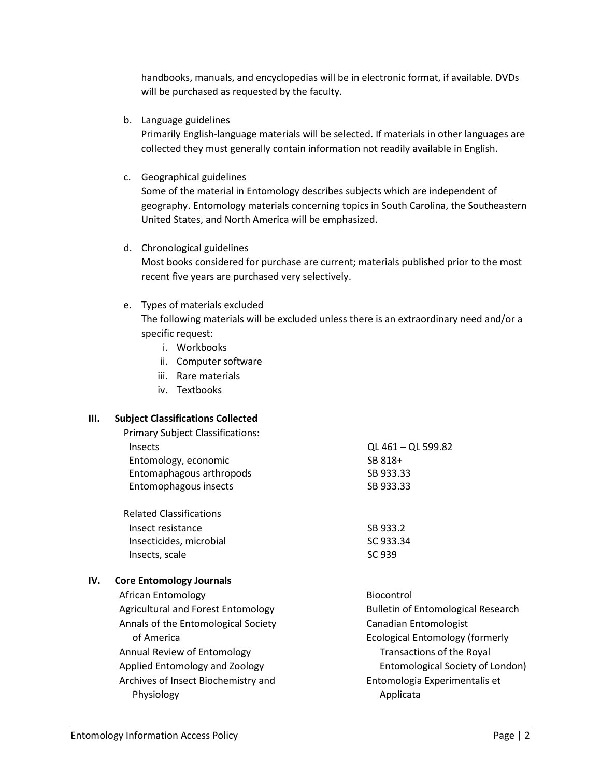handbooks, manuals, and encyclopedias will be in electronic format, if available. DVDs will be purchased as requested by the faculty.

b. Language guidelines

Primarily English-language materials will be selected. If materials in other languages are collected they must generally contain information not readily available in English.

c. Geographical guidelines

Some of the material in Entomology describes subjects which are independent of geography. Entomology materials concerning topics in South Carolina, the Southeastern United States, and North America will be emphasized.

# d. Chronological guidelines

Most books considered for purchase are current; materials published prior to the most recent five years are purchased very selectively.

# e. Types of materials excluded

The following materials will be excluded unless there is an extraordinary need and/or a specific request:

- i. Workbooks
- ii. Computer software
- iii. Rare materials
- iv. Textbooks

# **III. Subject Classifications Collected**

|     | <b>Primary Subject Classifications:</b> |                                           |
|-----|-----------------------------------------|-------------------------------------------|
|     | Insects                                 | QL 461 - QL 599.82                        |
|     | Entomology, economic                    | SB 818+                                   |
|     | Entomaphagous arthropods                | SB 933.33                                 |
|     | Entomophagous insects                   | SB 933.33                                 |
|     | <b>Related Classifications</b>          |                                           |
|     | Insect resistance                       | SB 933.2                                  |
|     | Insecticides, microbial                 | SC 933.34                                 |
|     | Insects, scale                          | SC 939                                    |
| IV. | <b>Core Entomology Journals</b>         |                                           |
|     | African Entomology                      | <b>Biocontrol</b>                         |
|     | Agricultural and Forest Entomology      | <b>Bulletin of Entomological Research</b> |
|     | Annals of the Entomological Society     | Canadian Entomologist                     |
|     | of America                              | Ecological Entomology (formerly           |
|     | Annual Review of Entomology             | Transactions of the Royal                 |
|     | Applied Entomology and Zoology          | Entomological Society of London)          |
|     | Archives of Insect Biochemistry and     | Entomologia Experimentalis et             |
|     | Physiology                              | Applicata                                 |
|     |                                         |                                           |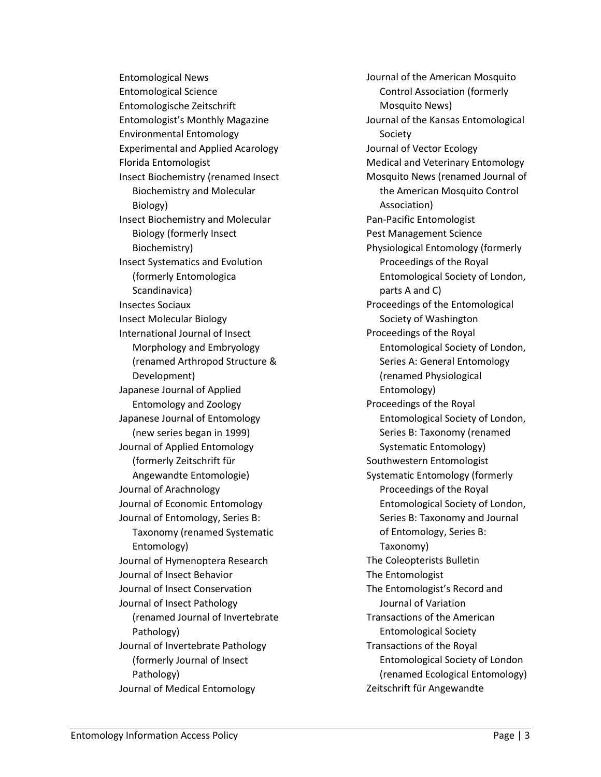Entomological News Entomological Science Entomologische Zeitschrift Entomologist's Monthly Magazine Environmental Entomology Experimental and Applied Acarology Florida Entomologist Insect Biochemistry (renamed Insect Biochemistry and Molecular Biology) Insect Biochemistry and Molecular Biology (formerly Insect Biochemistry) Insect Systematics and Evolution (formerly Entomologica Scandinavica) Insectes Sociaux Insect Molecular Biology International Journal of Insect Morphology and Embryology (renamed Arthropod Structure & Development) Japanese Journal of Applied Entomology and Zoology Japanese Journal of Entomology (new series began in 1999) Journal of Applied Entomology (formerly Zeitschrift für Angewandte Entomologie) Journal of Arachnology Journal of Economic Entomology Journal of Entomology, Series B: Taxonomy (renamed Systematic Entomology) Journal of Hymenoptera Research Journal of Insect Behavior Journal of Insect Conservation Journal of Insect Pathology (renamed Journal of Invertebrate Pathology) Journal of Invertebrate Pathology (formerly Journal of Insect Pathology) Journal of Medical Entomology

Journal of the American Mosquito Control Association (formerly Mosquito News) Journal of the Kansas Entomological Society Journal of Vector Ecology Medical and Veterinary Entomology Mosquito News (renamed Journal of the American Mosquito Control Association) Pan-Pacific Entomologist Pest Management Science Physiological Entomology (formerly Proceedings of the Royal Entomological Society of London, parts A and C) Proceedings of the Entomological Society of Washington Proceedings of the Royal Entomological Society of London, Series A: General Entomology (renamed Physiological Entomology) Proceedings of the Royal Entomological Society of London, Series B: Taxonomy (renamed Systematic Entomology) Southwestern Entomologist Systematic Entomology (formerly Proceedings of the Royal Entomological Society of London, Series B: Taxonomy and Journal of Entomology, Series B: Taxonomy) The Coleopterists Bulletin The Entomologist The Entomologist's Record and Journal of Variation Transactions of the American Entomological Society Transactions of the Royal Entomological Society of London (renamed Ecological Entomology) Zeitschrift für Angewandte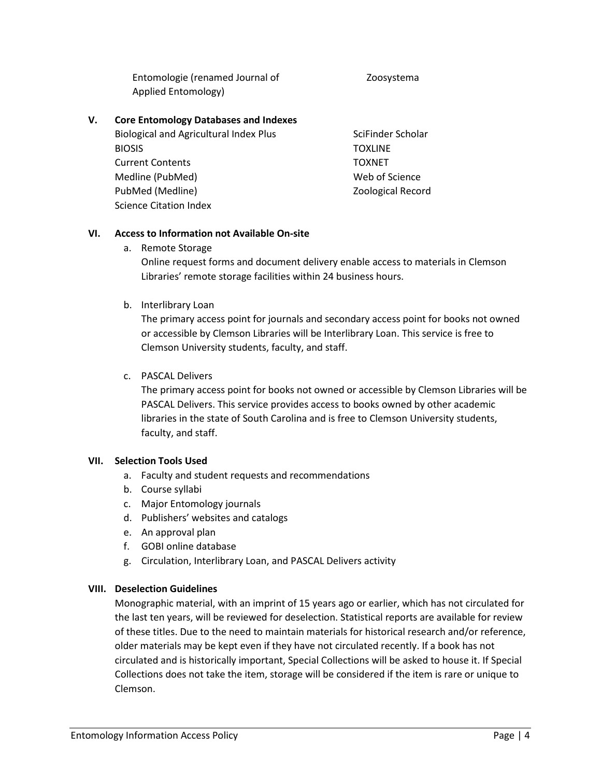Entomologie (renamed Journal of Applied Entomology)

#### Zoosystema

#### **V. Core Entomology Databases and Indexes**

Biological and Agricultural Index Plus BIOSIS Current Contents Medline (PubMed) PubMed (Medline) Science Citation Index

SciFinder Scholar **TOXLINE** TOXNET Web of Science Zoological Record

#### **VI. Access to Information not Available On-site**

a. Remote Storage

Online request forms and document delivery enable access to materials in Clemson Libraries' remote storage facilities within 24 business hours.

#### b. Interlibrary Loan

The primary access point for journals and secondary access point for books not owned or accessible by Clemson Libraries will be Interlibrary Loan. This service is free to Clemson University students, faculty, and staff.

#### c. PASCAL Delivers

The primary access point for books not owned or accessible by Clemson Libraries will be PASCAL Delivers. This service provides access to books owned by other academic libraries in the state of South Carolina and is free to Clemson University students, faculty, and staff.

#### **VII. Selection Tools Used**

- a. Faculty and student requests and recommendations
- b. Course syllabi
- c. Major Entomology journals
- d. Publishers' websites and catalogs
- e. An approval plan
- f. GOBI online database
- g. Circulation, Interlibrary Loan, and PASCAL Delivers activity

#### **VIII. Deselection Guidelines**

Monographic material, with an imprint of 15 years ago or earlier, which has not circulated for the last ten years, will be reviewed for deselection. Statistical reports are available for review of these titles. Due to the need to maintain materials for historical research and/or reference, older materials may be kept even if they have not circulated recently. If a book has not circulated and is historically important, Special Collections will be asked to house it. If Special Collections does not take the item, storage will be considered if the item is rare or unique to Clemson.